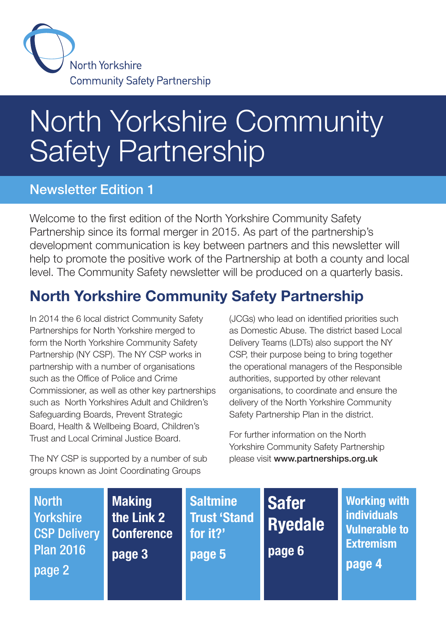

# North Yorkshire Community Safety Partnership

### Newsletter Edition 1

Welcome to the first edition of the North Yorkshire Community Safety Partnership since its formal merger in 2015. As part of the partnership's development communication is key between partners and this newsletter will help to promote the positive work of the Partnership at both a county and local level. The Community Safety newsletter will be produced on a quarterly basis.

# North Yorkshire Community Safety Partnership

In 2014 the 6 local district Community Safety Partnerships for North Yorkshire merged to form the North Yorkshire Community Safety Partnership (NY CSP). The NY CSP works in partnership with a number of organisations such as the Office of Police and Crime Commissioner, as well as other key partnerships such as North Yorkshires Adult and Children's Safeguarding Boards, Prevent Strategic Board, Health & Wellbeing Board, Children's Trust and Local Criminal Justice Board.

The NY CSP is supported by a number of sub groups known as Joint Coordinating Groups

(JCGs) who lead on identified priorities such as Domestic Abuse. The district based Local Delivery Teams (LDTs) also support the NY CSP, their purpose being to bring together the operational managers of the Responsible authorities, supported by other relevant organisations, to coordinate and ensure the delivery of the North Yorkshire Community Safety Partnership Plan in the district.

For further information on the North Yorkshire Community Safety Partnership please visit www.partnerships.org.uk

| <b>North</b><br><b>Yorkshire</b><br><b>CSP Delivery</b><br><b>Plan 2016</b><br>page 2 | <b>Making</b><br>the Link 2<br><b>Conference</b><br>page 3 | <b>Saltmine</b><br><b>Trust 'Stand</b><br>for it?'<br>page 5 | <b>Safer</b><br><b>Ryedale</b><br>page 6 | <b>Working with</b><br><b>individuals</b><br><b>Vulnerable to</b><br><b>Extremism</b><br>page 4 |
|---------------------------------------------------------------------------------------|------------------------------------------------------------|--------------------------------------------------------------|------------------------------------------|-------------------------------------------------------------------------------------------------|
|---------------------------------------------------------------------------------------|------------------------------------------------------------|--------------------------------------------------------------|------------------------------------------|-------------------------------------------------------------------------------------------------|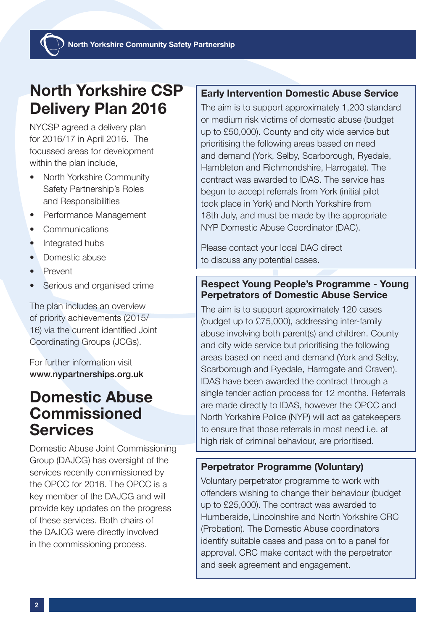## North Yorkshire CSP Delivery Plan 2016

NYCSP agreed a delivery plan for 2016/17 in April 2016. The focussed areas for development within the plan include,

- North Yorkshire Community Safety Partnership's Roles and Responsibilities
- Performance Management
- **Communications**
- Integrated hubs
- Domestic abuse
- Prevent
- Serious and organised crime

The plan includes an overview of priority achievements (2015/ 16) via the current identified Joint Coordinating Groups (JCGs).

For further information visit www.nypartnerships.org.uk

### Domestic Abuse Commissioned **Services**

Domestic Abuse Joint Commissioning Group (DAJCG) has oversight of the services recently commissioned by the OPCC for 2016. The OPCC is a key member of the DAJCG and will provide key updates on the progress of these services. Both chairs of the DAJCG were directly involved in the commissioning process.

#### Early Intervention Domestic Abuse Service

The aim is to support approximately 1,200 standard or medium risk victims of domestic abuse (budget up to £50,000). County and city wide service but prioritising the following areas based on need and demand (York, Selby, Scarborough, Ryedale, Hambleton and Richmondshire, Harrogate). The contract was awarded to IDAS. The service has begun to accept referrals from York (initial pilot took place in York) and North Yorkshire from 18th July, and must be made by the appropriate NYP Domestic Abuse Coordinator (DAC).

Please contact your local DAC direct to discuss any potential cases.

#### Respect Young People's Programme - Young Perpetrators of Domestic Abuse Service

The aim is to support approximately 120 cases (budget up to £75,000), addressing inter-family abuse involving both parent(s) and children. County and city wide service but prioritising the following areas based on need and demand (York and Selby, Scarborough and Ryedale, Harrogate and Craven). IDAS have been awarded the contract through a single tender action process for 12 months. Referrals are made directly to IDAS, however the OPCC and North Yorkshire Police (NYP) will act as gatekeepers to ensure that those referrals in most need i.e. at high risk of criminal behaviour, are prioritised.

#### Perpetrator Programme (Voluntary)

Voluntary perpetrator programme to work with offenders wishing to change their behaviour (budget up to £25,000). The contract was awarded to Humberside, Lincolnshire and North Yorkshire CRC (Probation). The Domestic Abuse coordinators identify suitable cases and pass on to a panel for approval. CRC make contact with the perpetrator and seek agreement and engagement.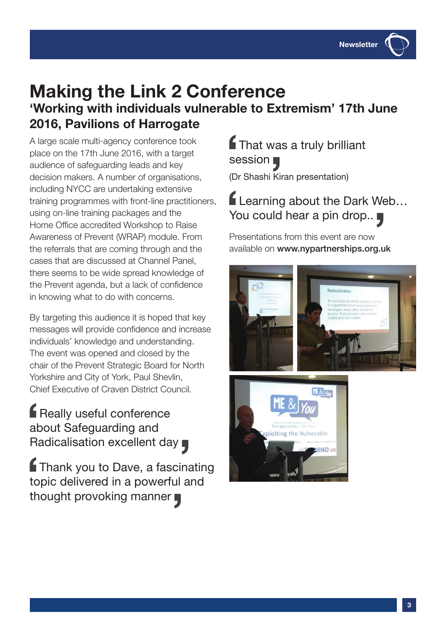### Making the Link 2 Conference 'Working with individuals vulnerable to Extremism' 17th June 2016, Pavilions of Harrogate

A large scale multi-agency conference took place on the 17th June 2016, with a target audience of safeguarding leads and key decision makers. A number of organisations, including NYCC are undertaking extensive training programmes with front-line practitioners, using on-line training packages and the Home Office accredited Workshop to Raise Awareness of Prevent (WRAP) module. From the referrals that are coming through and the cases that are discussed at Channel Panel, there seems to be wide spread knowledge of the Prevent agenda, but a lack of confidence in knowing what to do with concerns.

By targeting this audience it is hoped that key messages will provide confidence and increase individuals' knowledge and understanding. The event was opened and closed by the chair of the Prevent Strategic Board for North Yorkshire and City of York, Paul Shevlin, Chief Executive of Craven District Council.

Really useful conference about Safeguarding and Radicalisation excellent day

**f** Thank you to Dave, a fascinating topic delivered in a powerful and thought provoking manner

**f** That was a truly brilliant session (Dr Shashi Kiran presentation)

Learning about the Dark Web… You could hear a pin drop..

Presentations from this event are now available on www.nypartnerships.org.uk



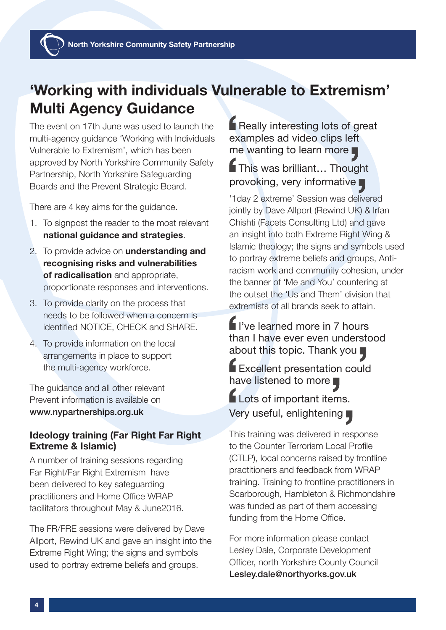### 'Working with individuals Vulnerable to Extremism' Multi Agency Guidance

The event on 17th June was used to launch the multi-agency guidance 'Working with Individuals Vulnerable to Extremism', which has been approved by North Yorkshire Community Safety Partnership, North Yorkshire Safeguarding Boards and the Prevent Strategic Board.

There are 4 key aims for the guidance.

- 1. To signpost the reader to the most relevant national guidance and strategies.
- 2. To provide advice on **understanding and** recognising risks and vulnerabilities of radicalisation and appropriate. proportionate responses and interventions.
- 3. To provide clarity on the process that needs to be followed when a concern is identified NOTICE, CHECK and SHARE.
- 4. To provide information on the local arrangements in place to support the multi-agency workforce.

The guidance and all other relevant Prevent information is available on www.nypartnerships.org.uk

#### Ideology training (Far Right Far Right Extreme & Islamic)

A number of training sessions regarding Far Right/Far Right Extremism have been delivered to key safeguarding practitioners and Home Office WRAP facilitators throughout May & June2016.

The FR/FRE sessions were delivered by Dave Allport, Rewind UK and gave an insight into the Extreme Right Wing; the signs and symbols used to portray extreme beliefs and groups.

**F** Really interesting lots of great examples ad video clips left me wanting to learn more

### This was brilliant… Thought provoking, very informative

'1day 2 extreme' Session was delivered jointly by Dave Allport (Rewind UK) & Irfan Chishti (Facets Consulting Ltd) and gave an insight into both Extreme Right Wing & Islamic theology; the signs and symbols used to portray extreme beliefs and groups, Antiracism work and community cohesion, under the banner of 'Me and You' countering at the outset the 'Us and Them' division that extremists of all brands seek to attain.

I've learned more in 7 hours than I have ever even understood about this topic. Thank you

Excellent presentation could have listened to more

Lots of important items. Very useful, enlightening

This training was delivered in response to the Counter Terrorism Local Profile (CTLP), local concerns raised by frontline practitioners and feedback from WRAP training. Training to frontline practitioners in Scarborough, Hambleton & Richmondshire was funded as part of them accessing funding from the Home Office.

For more information please contact Lesley Dale, Corporate Development Officer, north Yorkshire County Council Lesley.dale@northyorks.gov.uk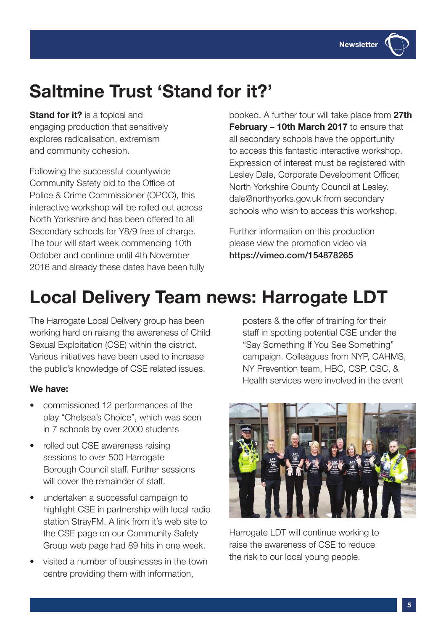

**Stand for it?** is a topical and engaging production that sensitively explores radicalisation, extremism and community cohesion.

Following the successful countywide Community Safety bid to the Office of Police & Crime Commissioner (OPCC), this interactive workshop will be rolled out across North Yorkshire and has been offered to all Secondary schools for Y8/9 free of charge. The tour will start week commencing 10th October and continue until 4th November 2016 and already these dates have been fully booked. A further tour will take place from 27th February – 10th March 2017 to ensure that all secondary schools have the opportunity to access this fantastic interactive workshop. Expression of interest must be registered with Lesley Dale, Corporate Development Officer, North Yorkshire County Council at Lesley. dale@northyorks.gov.uk from secondary schools who wish to access this workshop.

Further information on this production please view the promotion video via https://vimeo.com/154878265

# Local Delivery Team news: Harrogate LDT

The Harrogate Local Delivery group has been working hard on raising the awareness of Child Sexual Exploitation (CSE) within the district. Various initiatives have been used to increase the public's knowledge of CSE related issues.

#### We have:

- commissioned 12 performances of the play "Chelsea's Choice", which was seen in 7 schools by over 2000 students
- rolled out CSE awareness raising sessions to over 500 Harrogate Borough Council staff. Further sessions will cover the remainder of staff.
- undertaken a successful campaign to highlight CSE in partnership with local radio station StrayFM. A link from it's web site to the CSE page on our Community Safety Group web page had 89 hits in one week.
- visited a number of businesses in the town centre providing them with information,

posters & the offer of training for their staff in spotting potential CSE under the "Say Something If You See Something" campaign. Colleagues from NYP, CAHMS, NY Prevention team, HBC, CSP, CSC, & Health services were involved in the event



Harrogate LDT will continue working to raise the awareness of CSE to reduce the risk to our local young people.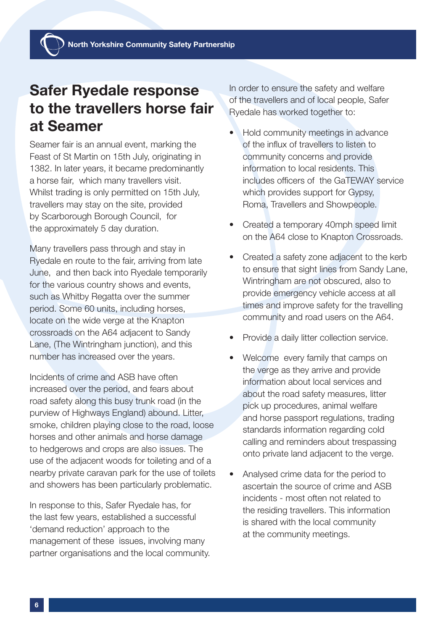North Yorkshire Community Safety Partnership

### Safer Ryedale response to the travellers horse fair at Seamer

Seamer fair is an annual event, marking the Feast of St Martin on 15th July, originating in 1382. In later years, it became predominantly a horse fair, which many travellers visit. Whilst trading is only permitted on 15th July, travellers may stay on the site, provided by Scarborough Borough Council, for the approximately 5 day duration.

Many travellers pass through and stay in Ryedale en route to the fair, arriving from late June, and then back into Ryedale temporarily for the various country shows and events, such as Whitby Regatta over the summer period. Some 60 units, including horses, locate on the wide verge at the Knapton crossroads on the A64 adjacent to Sandy Lane, (The Wintringham junction), and this number has increased over the years.

Incidents of crime and ASB have often increased over the period, and fears about road safety along this busy trunk road (in the purview of Highways England) abound. Litter, smoke, children playing close to the road, loose horses and other animals and horse damage to hedgerows and crops are also issues. The use of the adjacent woods for toileting and of a nearby private caravan park for the use of toilets and showers has been particularly problematic.

In response to this, Safer Ryedale has, for the last few years, established a successful 'demand reduction' approach to the management of these issues, involving many partner organisations and the local community. In order to ensure the safety and welfare of the travellers and of local people, Safer Ryedale has worked together to:

- Hold community meetings in advance of the influx of travellers to listen to community concerns and provide information to local residents. This includes officers of the GaTEWAY service which provides support for Gypsy, Roma, Travellers and Showpeople.
- Created a temporary 40mph speed limit on the A64 close to Knapton Crossroads.
- Created a safety zone adjacent to the kerb to ensure that sight lines from Sandy Lane, Wintringham are not obscured, also to provide emergency vehicle access at all times and improve safety for the travelling community and road users on the A64.
- Provide a daily litter collection service.
- Welcome every family that camps on the verge as they arrive and provide information about local services and about the road safety measures, litter pick up procedures, animal welfare and horse passport regulations, trading standards information regarding cold calling and reminders about trespassing onto private land adjacent to the verge.
- Analysed crime data for the period to ascertain the source of crime and ASB incidents - most often not related to the residing travellers. This information is shared with the local community at the community meetings.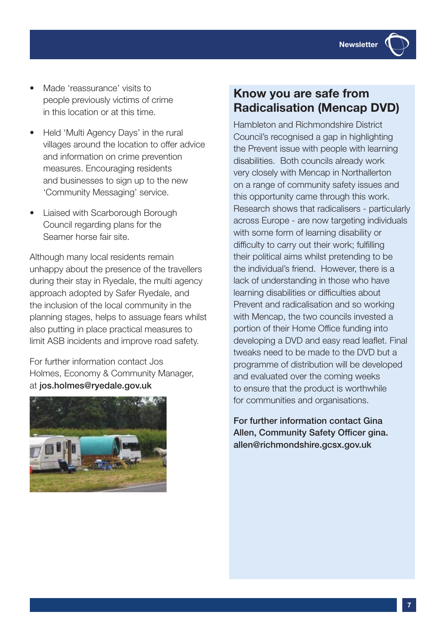

- Made 'reassurance' visits to people previously victims of crime in this location or at this time.
- Held 'Multi Agency Days' in the rural villages around the location to offer advice and information on crime prevention measures. Encouraging residents and businesses to sign up to the new 'Community Messaging' service.
- Liaised with Scarborough Borough Council regarding plans for the Seamer horse fair site.

Although many local residents remain unhappy about the presence of the travellers during their stay in Ryedale, the multi agency approach adopted by Safer Ryedale, and the inclusion of the local community in the planning stages, helps to assuage fears whilst also putting in place practical measures to limit ASB incidents and improve road safety.

For further information contact Jos Holmes, Economy & Community Manager, at jos.holmes@ryedale.gov.uk



### Know you are safe from Radicalisation (Mencap DVD)

Hambleton and Richmondshire District Council's recognised a gap in highlighting the Prevent issue with people with learning disabilities. Both councils already work very closely with Mencap in Northallerton on a range of community safety issues and this opportunity came through this work. Research shows that radicalisers - particularly across Europe - are now targeting individuals with some form of learning disability or difficulty to carry out their work; fulfilling their political aims whilst pretending to be the individual's friend. However, there is a lack of understanding in those who have learning disabilities or difficulties about Prevent and radicalisation and so working with Mencap, the two councils invested a portion of their Home Office funding into developing a DVD and easy read leaflet. Final tweaks need to be made to the DVD but a programme of distribution will be developed and evaluated over the coming weeks to ensure that the product is worthwhile for communities and organisations.

For further information contact Gina Allen, Community Safety Officer gina. allen@richmondshire.gcsx.gov.uk